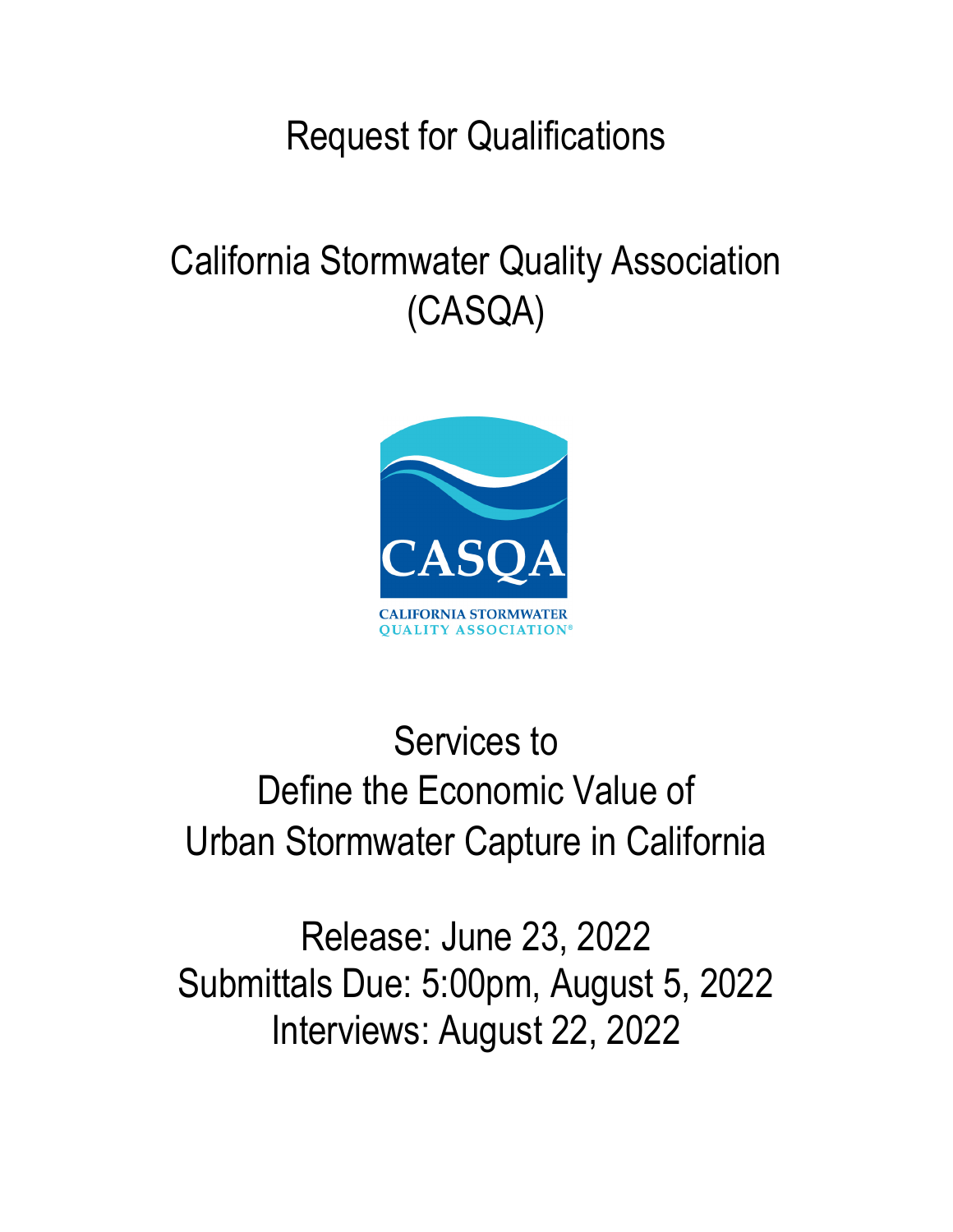# Request for Qualifications

# California Stormwater Quality Association (CASQA)



# Services to Define the Economic Value of Urban Stormwater Capture in California

Release: June 23, 2022 Submittals Due: 5:00pm, August 5, 2022 Interviews: August 22, 2022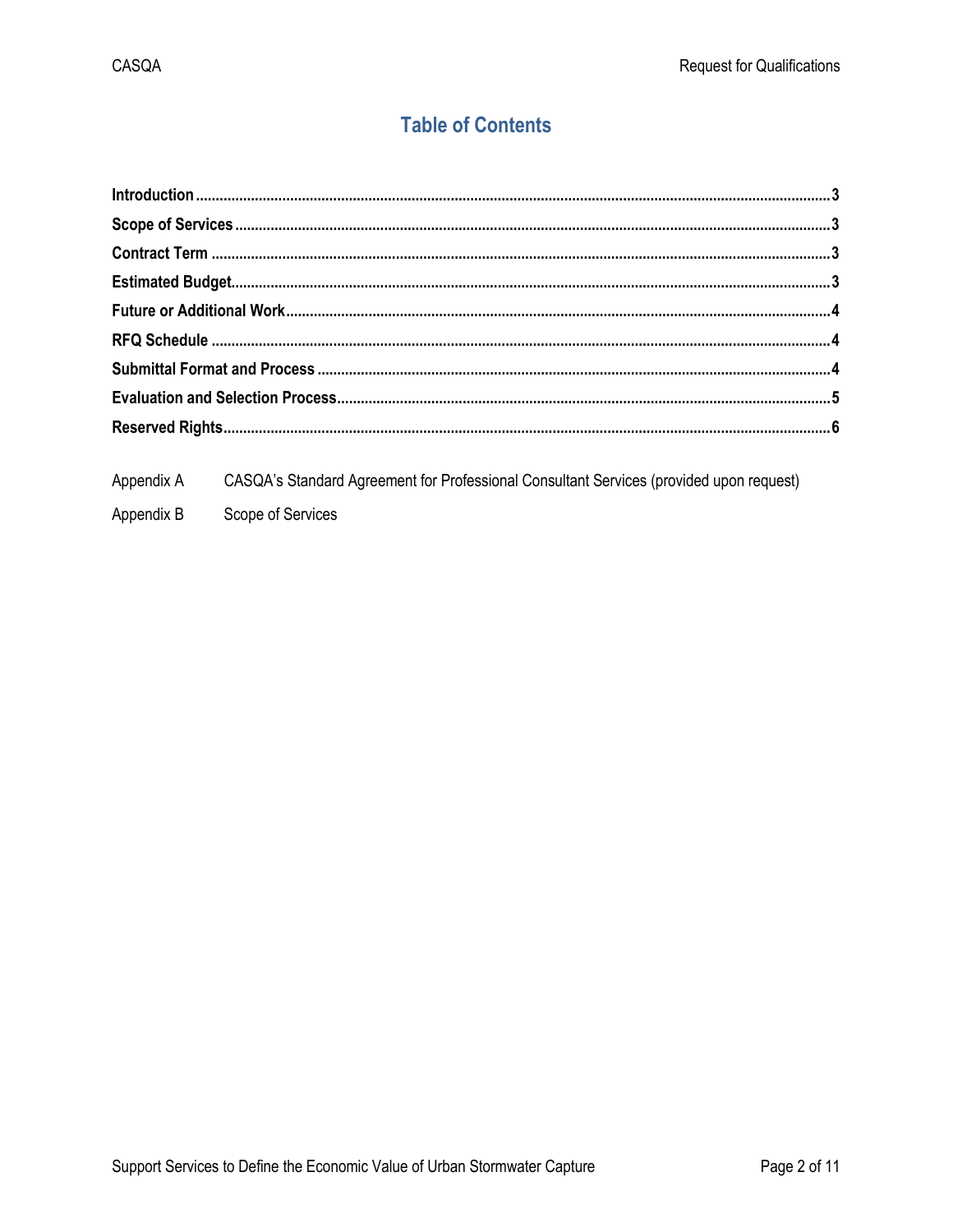# **Table of Contents**

Appendix A CASQA's Standard Agreement for Professional Consultant Services (provided upon request) Appendix B Scope of Services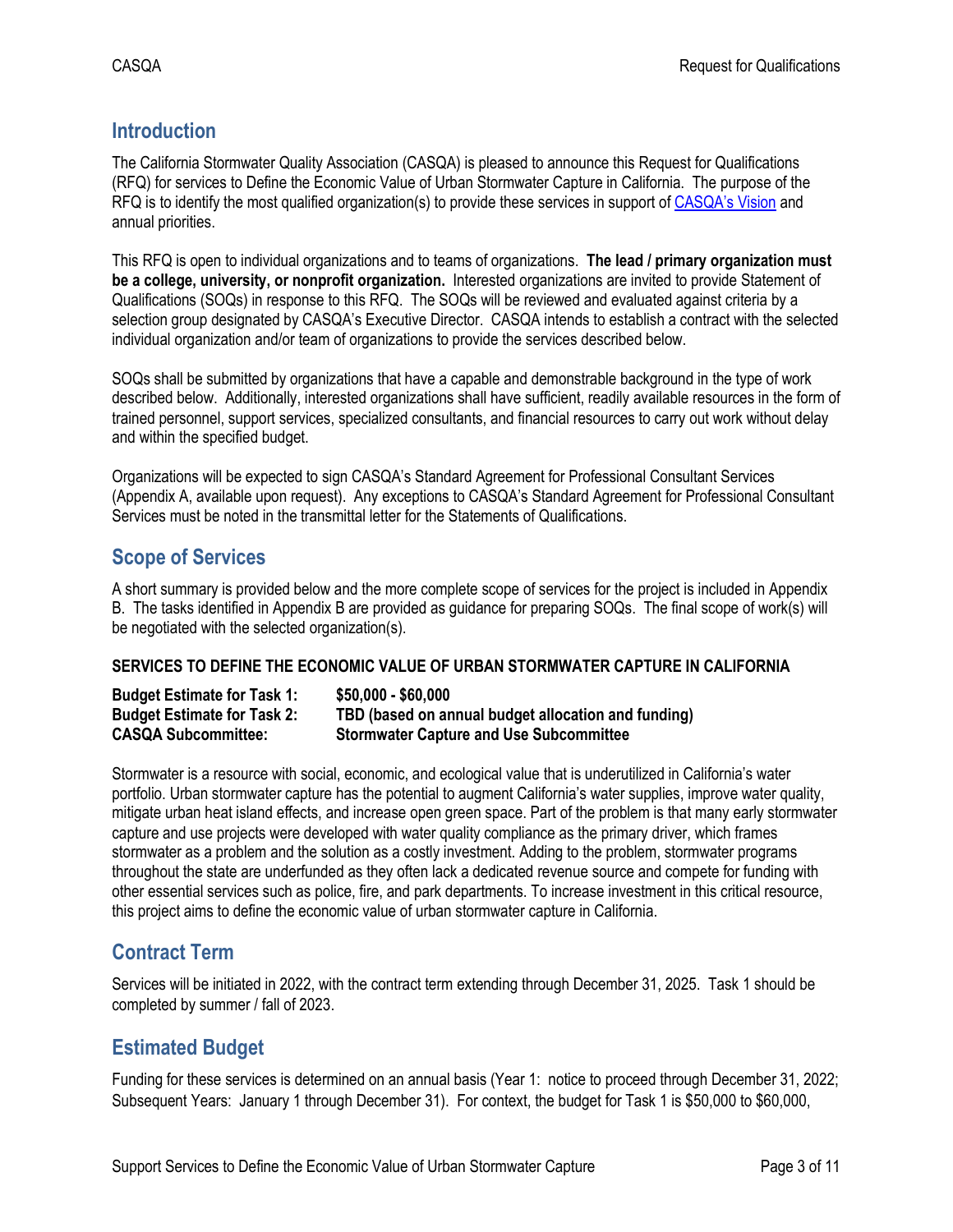# <span id="page-2-0"></span>**Introduction**

The California Stormwater Quality Association (CASQA) is pleased to announce this Request for Qualifications (RFQ) for services to Define the Economic Value of Urban Stormwater Capture in California. The purpose of the RFQ is to identify the most qualified organization(s) to provide these services in support o[f CASQA's Vision](https://www.casqa.org/about/vision) and annual priorities.

This RFQ is open to individual organizations and to teams of organizations. **The lead / primary organization must be a college, university, or nonprofit organization.** Interested organizations are invited to provide Statement of Qualifications (SOQs) in response to this RFQ. The SOQs will be reviewed and evaluated against criteria by a selection group designated by CASQA's Executive Director. CASQA intends to establish a contract with the selected individual organization and/or team of organizations to provide the services described below.

SOQs shall be submitted by organizations that have a capable and demonstrable background in the type of work described below. Additionally, interested organizations shall have sufficient, readily available resources in the form of trained personnel, support services, specialized consultants, and financial resources to carry out work without delay and within the specified budget.

Organizations will be expected to sign CASQA's Standard Agreement for Professional Consultant Services (Appendix A, available upon request). Any exceptions to CASQA's Standard Agreement for Professional Consultant Services must be noted in the transmittal letter for the Statements of Qualifications.

## <span id="page-2-1"></span>**Scope of Services**

A short summary is provided below and the more complete scope of services for the project is included in Appendix B. The tasks identified in Appendix B are provided as guidance for preparing SOQs. The final scope of work(s) will be negotiated with the selected organization(s).

#### **SERVICES TO DEFINE THE ECONOMIC VALUE OF URBAN STORMWATER CAPTURE IN CALIFORNIA**

| <b>Budget Estimate for Task 1:</b> | $$50,000 - $60,000$                                 |
|------------------------------------|-----------------------------------------------------|
| <b>Budget Estimate for Task 2:</b> | TBD (based on annual budget allocation and funding) |
| <b>CASQA Subcommittee:</b>         | <b>Stormwater Capture and Use Subcommittee</b>      |

<span id="page-2-2"></span>Stormwater is a resource with social, economic, and ecological value that is underutilized in California's water portfolio. Urban stormwater capture has the potential to augment California's water supplies, improve water quality, mitigate urban heat island effects, and increase open green space. Part of the problem is that many early stormwater capture and use projects were developed with water quality compliance as the primary driver, which frames stormwater as a problem and the solution as a costly investment. Adding to the problem, stormwater programs throughout the state are underfunded as they often lack a dedicated revenue source and compete for funding with other essential services such as police, fire, and park departments. To increase investment in this critical resource, this project aims to define the economic value of urban stormwater capture in California.

## **Contract Term**

Services will be initiated in 2022, with the contract term extending through December 31, 2025. Task 1 should be completed by summer / fall of 2023.

## <span id="page-2-3"></span>**Estimated Budget**

Funding for these services is determined on an annual basis (Year 1: notice to proceed through December 31, 2022; Subsequent Years: January 1 through December 31). For context, the budget for Task 1 is \$50,000 to \$60,000,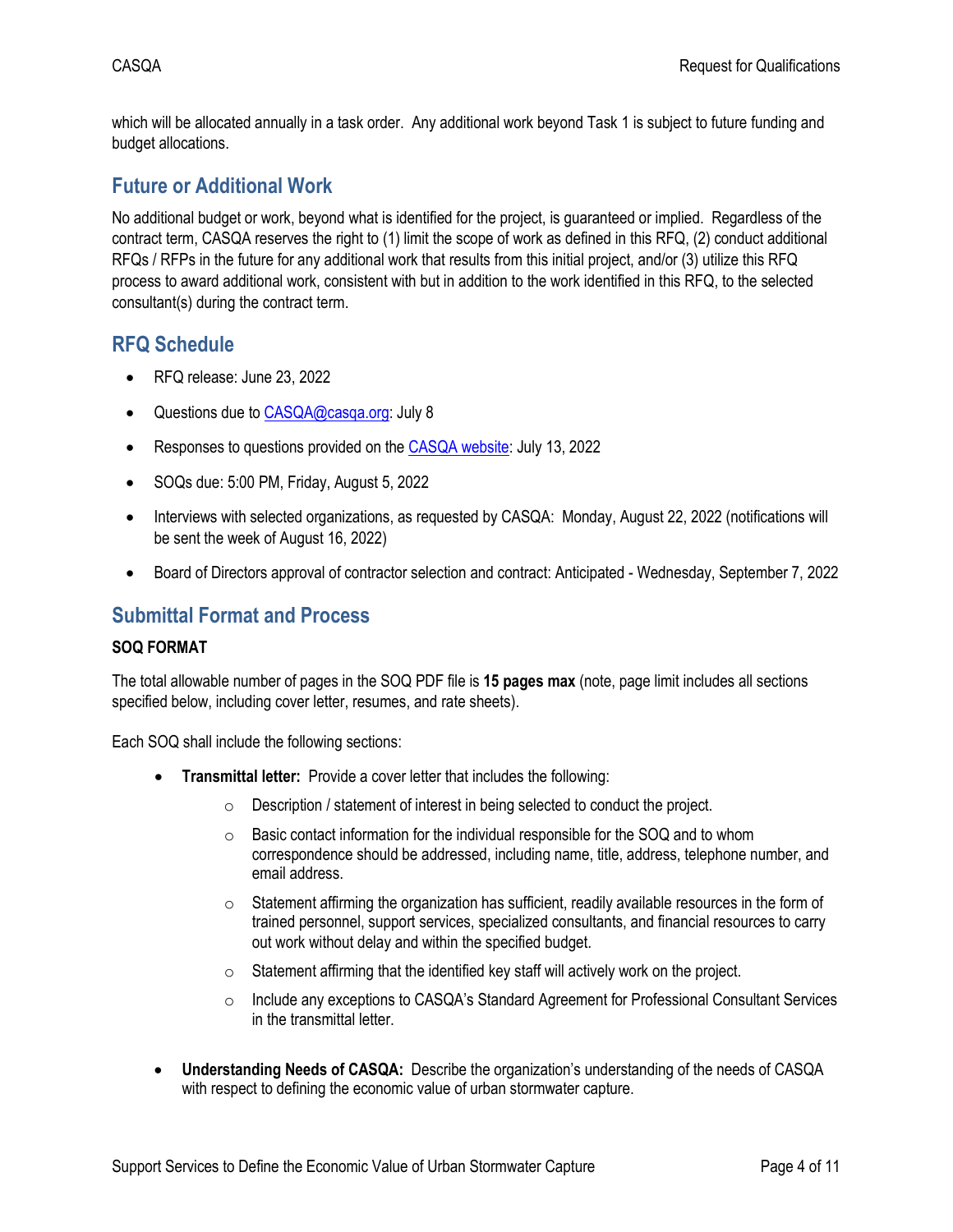which will be allocated annually in a task order. Any additional work beyond Task 1 is subject to future funding and budget allocations.

### <span id="page-3-0"></span>**Future or Additional Work**

No additional budget or work, beyond what is identified for the project, is guaranteed or implied. Regardless of the contract term, CASQA reserves the right to (1) limit the scope of work as defined in this RFQ, (2) conduct additional RFQs / RFPs in the future for any additional work that results from this initial project, and/or (3) utilize this RFQ process to award additional work, consistent with but in addition to the work identified in this RFQ, to the selected consultant(s) during the contract term.

### <span id="page-3-1"></span>**RFQ Schedule**

- RFQ release: June 23, 2022
- Questions due t[o CASQA@casqa.org:](mailto:CASQA@casqa.org) July 8
- Responses to questions provided on th[e CASQA website:](https://www.casqa.org/news-library/rfps-rfqs) July 13, 2022
- SOQs due: 5:00 PM, Friday, August 5, 2022
- Interviews with selected organizations, as requested by CASQA: Monday, August 22, 2022 (notifications will be sent the week of August 16, 2022)
- Board of Directors approval of contractor selection and contract: Anticipated Wednesday, September 7, 2022

### <span id="page-3-2"></span>**Submittal Format and Process**

#### **SOQ FORMAT**

The total allowable number of pages in the SOQ PDF file is **15 pages max** (note, page limit includes all sections specified below, including cover letter, resumes, and rate sheets).

Each SOQ shall include the following sections:

- **Transmittal letter:** Provide a cover letter that includes the following:
	- o Description / statement of interest in being selected to conduct the project.
	- $\circ$  Basic contact information for the individual responsible for the SOQ and to whom correspondence should be addressed, including name, title, address, telephone number, and email address.
	- $\circ$  Statement affirming the organization has sufficient, readily available resources in the form of trained personnel, support services, specialized consultants, and financial resources to carry out work without delay and within the specified budget.
	- $\circ$  Statement affirming that the identified key staff will actively work on the project.
	- o Include any exceptions to CASQA's Standard Agreement for Professional Consultant Services in the transmittal letter.
- **Understanding Needs of CASQA:** Describe the organization's understanding of the needs of CASQA with respect to defining the economic value of urban stormwater capture.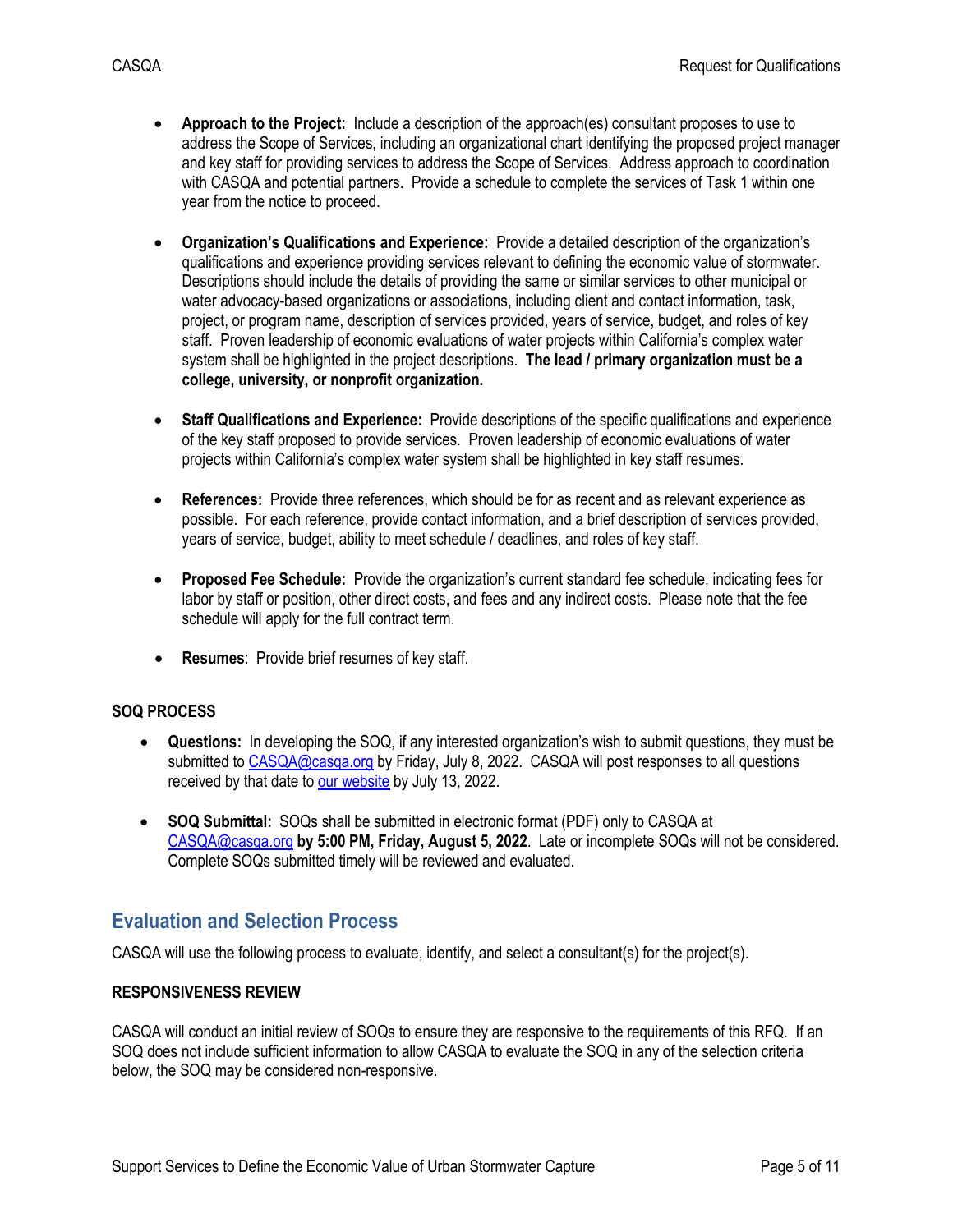- **Approach to the Project:** Include a description of the approach(es) consultant proposes to use to address the Scope of Services, including an organizational chart identifying the proposed project manager and key staff for providing services to address the Scope of Services. Address approach to coordination with CASQA and potential partners. Provide a schedule to complete the services of Task 1 within one year from the notice to proceed.
- **Organization's Qualifications and Experience:** Provide a detailed description of the organization's qualifications and experience providing services relevant to defining the economic value of stormwater. Descriptions should include the details of providing the same or similar services to other municipal or water advocacy-based organizations or associations, including client and contact information, task, project, or program name, description of services provided, years of service, budget, and roles of key staff. Proven leadership of economic evaluations of water projects within California's complex water system shall be highlighted in the project descriptions. **The lead / primary organization must be a college, university, or nonprofit organization.**
- **Staff Qualifications and Experience:** Provide descriptions of the specific qualifications and experience of the key staff proposed to provide services. Proven leadership of economic evaluations of water projects within California's complex water system shall be highlighted in key staff resumes.
- **References:** Provide three references, which should be for as recent and as relevant experience as possible. For each reference, provide contact information, and a brief description of services provided, years of service, budget, ability to meet schedule / deadlines, and roles of key staff.
- **Proposed Fee Schedule:** Provide the organization's current standard fee schedule, indicating fees for labor by staff or position, other direct costs, and fees and any indirect costs. Please note that the fee schedule will apply for the full contract term.
- **Resumes**: Provide brief resumes of key staff.

#### **SOQ PROCESS**

- **Questions:** In developing the SOQ, if any interested organization's wish to submit questions, they must be submitted t[o CASQA@casqa.org](mailto:CASQA@casqa.org) by Friday, July 8, 2022. CASQA will post responses to all questions received by that date to [our website](https://www.casqa.org/about/rfps-rfqs) by July 13, 2022.
- **SOQ Submittal:** SOQs shall be submitted in electronic format (PDF) only to CASQA at [CASQA@casqa.org](mailto:CASQA@casqa.org) **by 5:00 PM, Friday, August 5, 2022**. Late or incomplete SOQs will not be considered. Complete SOQs submitted timely will be reviewed and evaluated.

#### <span id="page-4-0"></span>**Evaluation and Selection Process**

CASQA will use the following process to evaluate, identify, and select a consultant(s) for the project(s).

#### **RESPONSIVENESS REVIEW**

CASQA will conduct an initial review of SOQs to ensure they are responsive to the requirements of this RFQ. If an SOQ does not include sufficient information to allow CASQA to evaluate the SOQ in any of the selection criteria below, the SOQ may be considered non-responsive.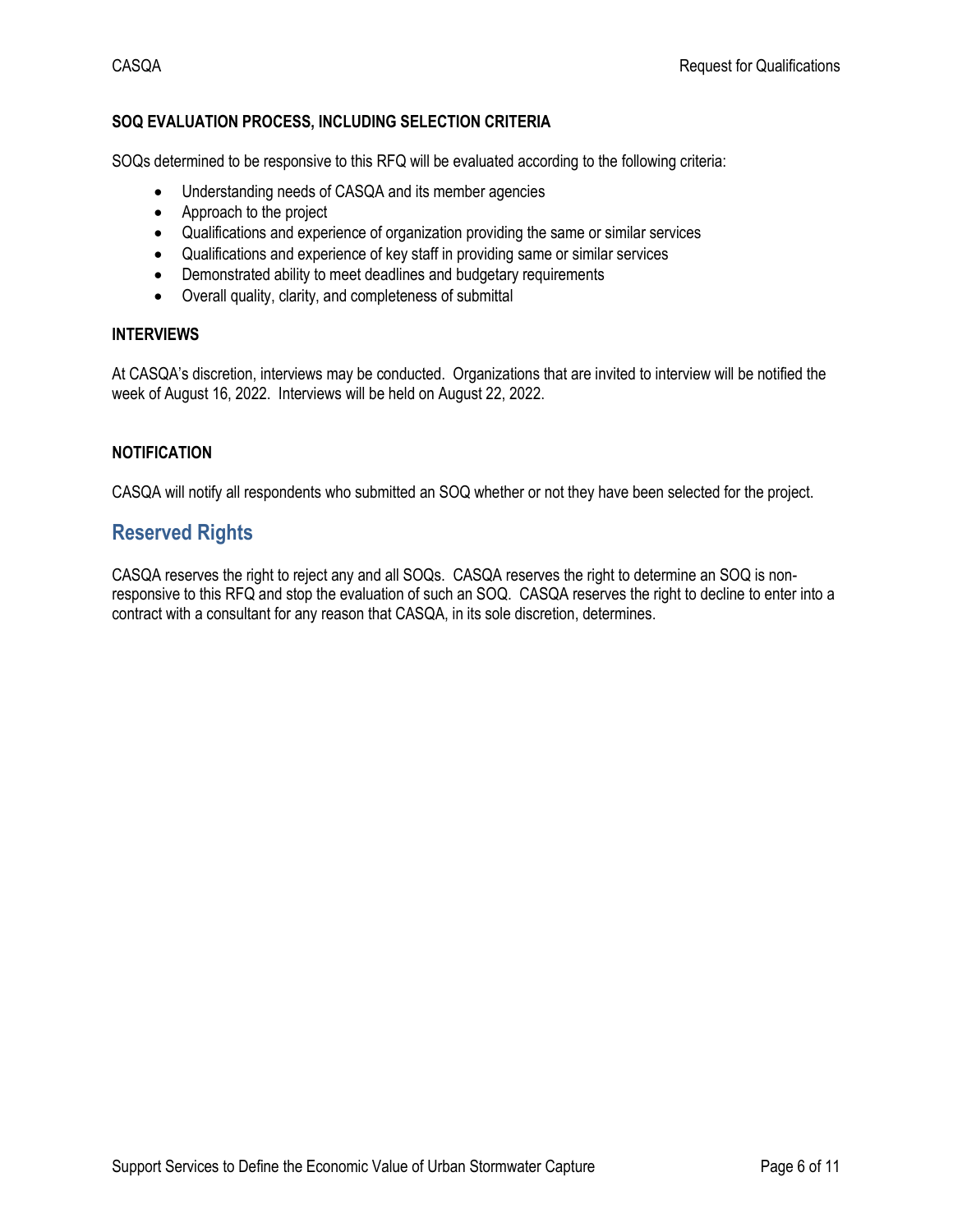#### **SOQ EVALUATION PROCESS, INCLUDING SELECTION CRITERIA**

SOQs determined to be responsive to this RFQ will be evaluated according to the following criteria:

- Understanding needs of CASQA and its member agencies
- Approach to the project
- Qualifications and experience of organization providing the same or similar services
- Qualifications and experience of key staff in providing same or similar services
- Demonstrated ability to meet deadlines and budgetary requirements
- Overall quality, clarity, and completeness of submittal

#### **INTERVIEWS**

At CASQA's discretion, interviews may be conducted. Organizations that are invited to interview will be notified the week of August 16, 2022. Interviews will be held on August 22, 2022.

#### **NOTIFICATION**

<span id="page-5-0"></span>CASQA will notify all respondents who submitted an SOQ whether or not they have been selected for the project.

### **Reserved Rights**

CASQA reserves the right to reject any and all SOQs. CASQA reserves the right to determine an SOQ is nonresponsive to this RFQ and stop the evaluation of such an SOQ. CASQA reserves the right to decline to enter into a contract with a consultant for any reason that CASQA, in its sole discretion, determines.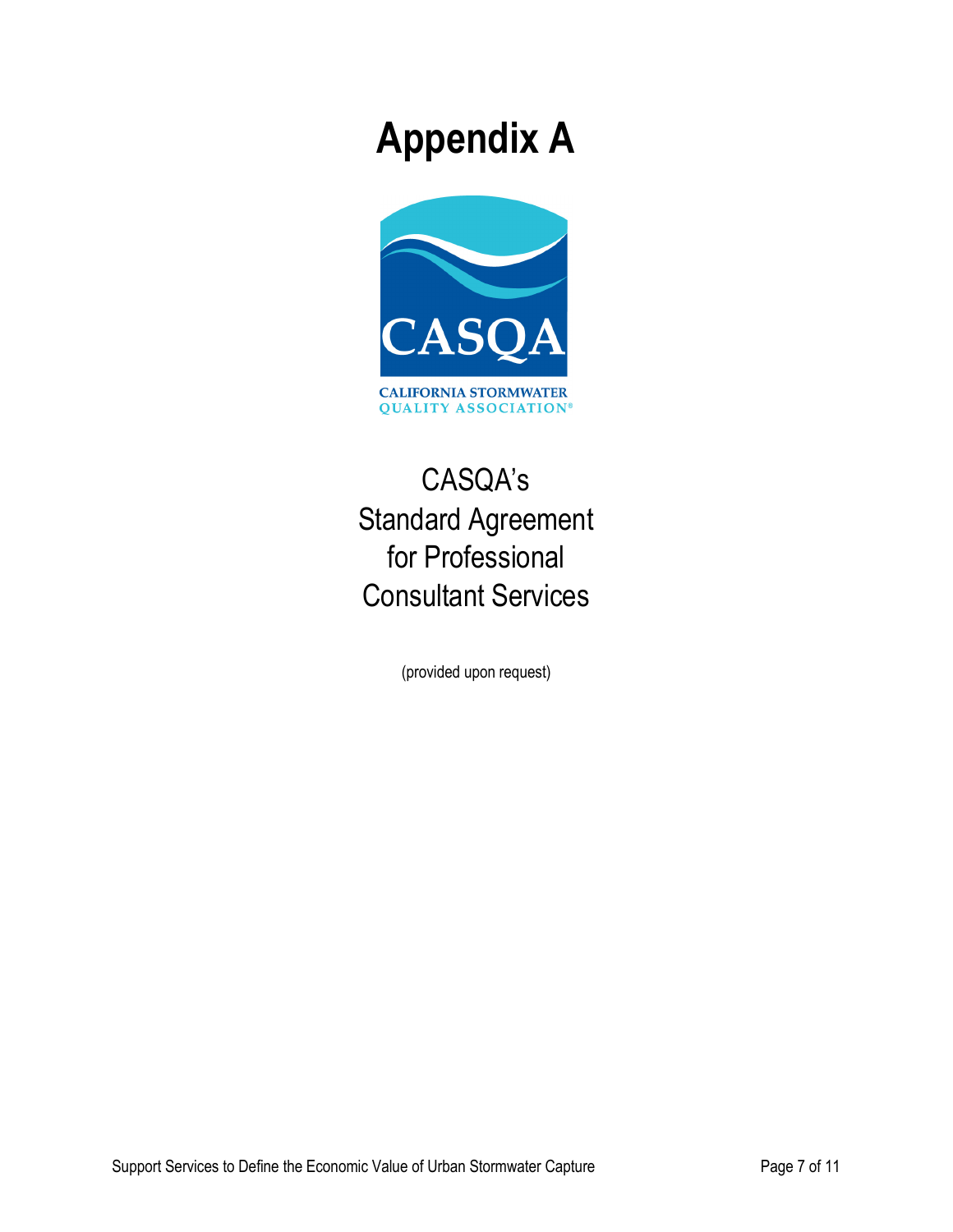# **Appendix A**



# CASQA's Standard Agreement for Professional Consultant Services

(provided upon request)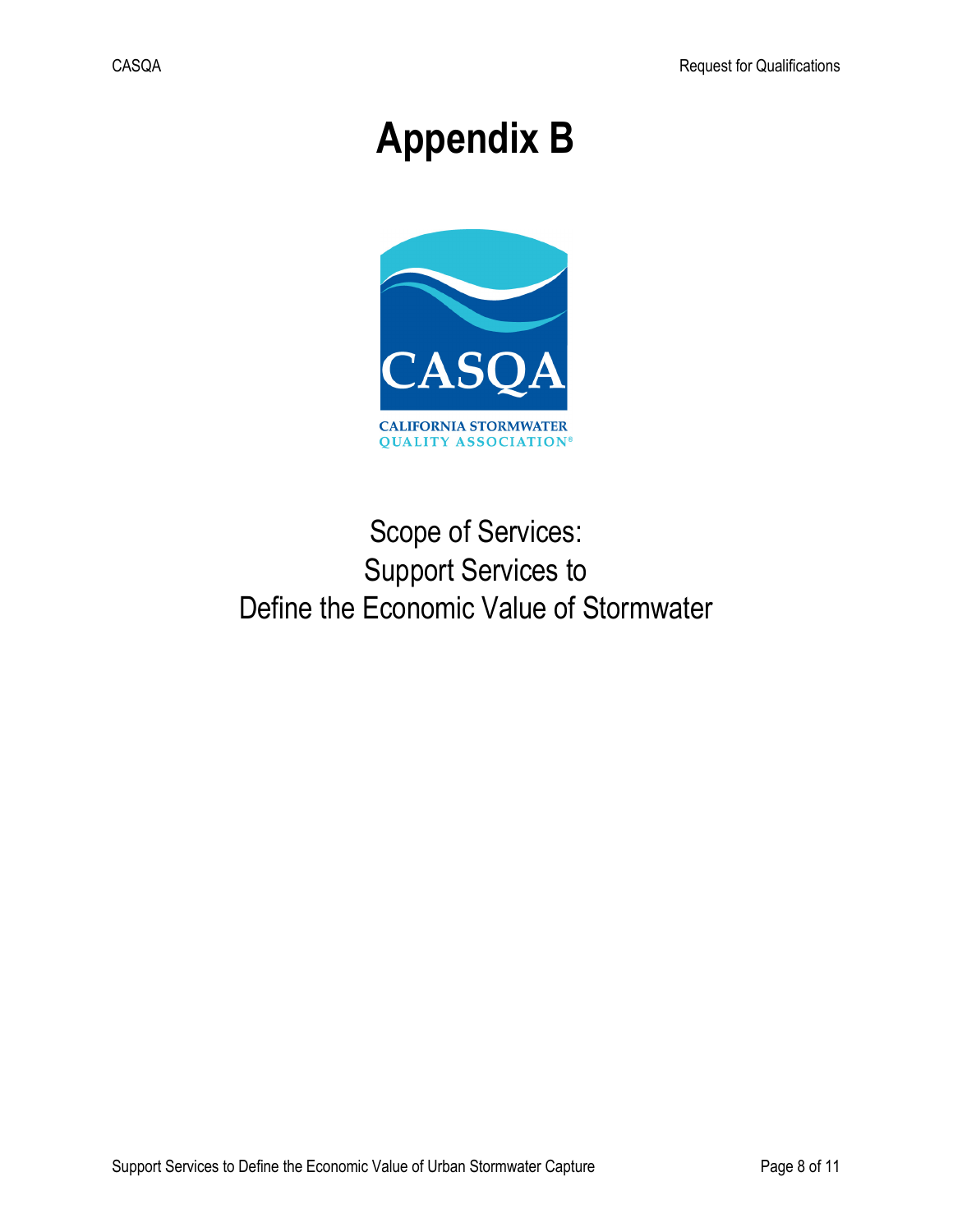# **Appendix B**



# Scope of Services: Support Services to Define the Economic Value of Stormwater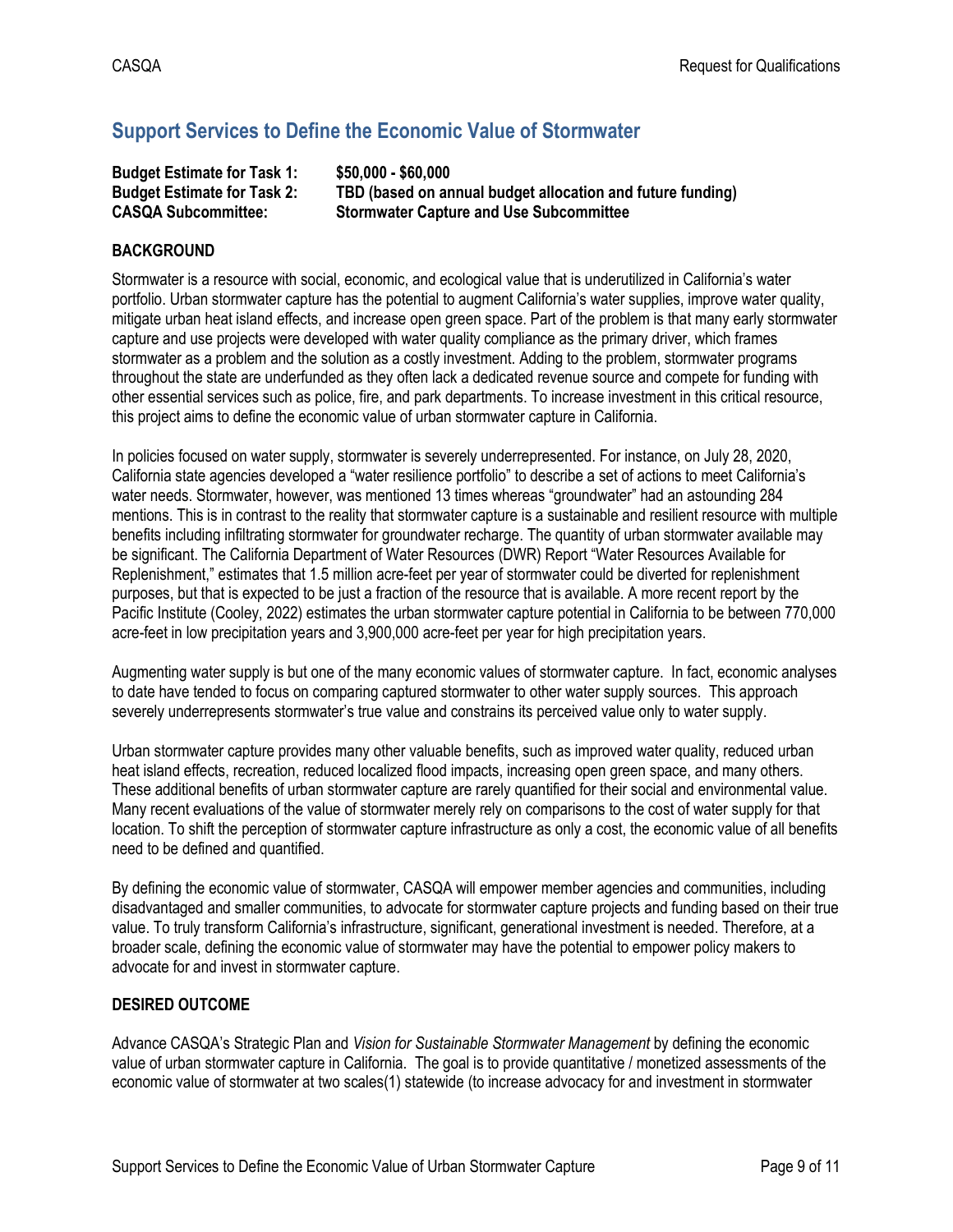# **Support Services to Define the Economic Value of Stormwater**

| <b>Budget Estimate for Task 1:</b> | \$50,000 - \$60,000                                        |
|------------------------------------|------------------------------------------------------------|
| <b>Budget Estimate for Task 2:</b> | TBD (based on annual budget allocation and future funding) |
| <b>CASQA Subcommittee:</b>         | <b>Stormwater Capture and Use Subcommittee</b>             |

#### **BACKGROUND**

Stormwater is a resource with social, economic, and ecological value that is underutilized in California's water portfolio. Urban stormwater capture has the potential to augment California's water supplies, improve water quality, mitigate urban heat island effects, and increase open green space. Part of the problem is that many early stormwater capture and use projects were developed with water quality compliance as the primary driver, which frames stormwater as a problem and the solution as a costly investment. Adding to the problem, stormwater programs throughout the state are underfunded as they often lack a dedicated revenue source and compete for funding with other essential services such as police, fire, and park departments. To increase investment in this critical resource, this project aims to define the economic value of urban stormwater capture in California.

In policies focused on water supply, stormwater is severely underrepresented. For instance, on July 28, 2020, California state agencies developed a "water resilience portfolio" to describe a set of actions to meet California's water needs. Stormwater, however, was mentioned 13 times whereas "groundwater" had an astounding 284 mentions. This is in contrast to the reality that stormwater capture is a sustainable and resilient resource with multiple benefits including infiltrating stormwater for groundwater recharge. The quantity of urban stormwater available may be significant. The California Department of Water Resources (DWR) Report "Water Resources Available for Replenishment," estimates that 1.5 million acre-feet per year of stormwater could be diverted for replenishment purposes, but that is expected to be just a fraction of the resource that is available. A more recent report by the Pacific Institute (Cooley, 2022) estimates the urban stormwater capture potential in California to be between 770,000 acre-feet in low precipitation years and 3,900,000 acre-feet per year for high precipitation years.

Augmenting water supply is but one of the many economic values of stormwater capture. In fact, economic analyses to date have tended to focus on comparing captured stormwater to other water supply sources. This approach severely underrepresents stormwater's true value and constrains its perceived value only to water supply.

Urban stormwater capture provides many other valuable benefits, such as improved water quality, reduced urban heat island effects, recreation, reduced localized flood impacts, increasing open green space, and many others. These additional benefits of urban stormwater capture are rarely quantified for their social and environmental value. Many recent evaluations of the value of stormwater merely rely on comparisons to the cost of water supply for that location. To shift the perception of stormwater capture infrastructure as only a cost, the economic value of all benefits need to be defined and quantified.

By defining the economic value of stormwater, CASQA will empower member agencies and communities, including disadvantaged and smaller communities, to advocate for stormwater capture projects and funding based on their true value. To truly transform California's infrastructure, significant, generational investment is needed. Therefore, at a broader scale, defining the economic value of stormwater may have the potential to empower policy makers to advocate for and invest in stormwater capture.

#### **DESIRED OUTCOME**

Advance CASQA's Strategic Plan and *Vision for Sustainable Stormwater Management* by defining the economic value of urban stormwater capture in California. The goal is to provide quantitative / monetized assessments of the economic value of stormwater at two scales(1) statewide (to increase advocacy for and investment in stormwater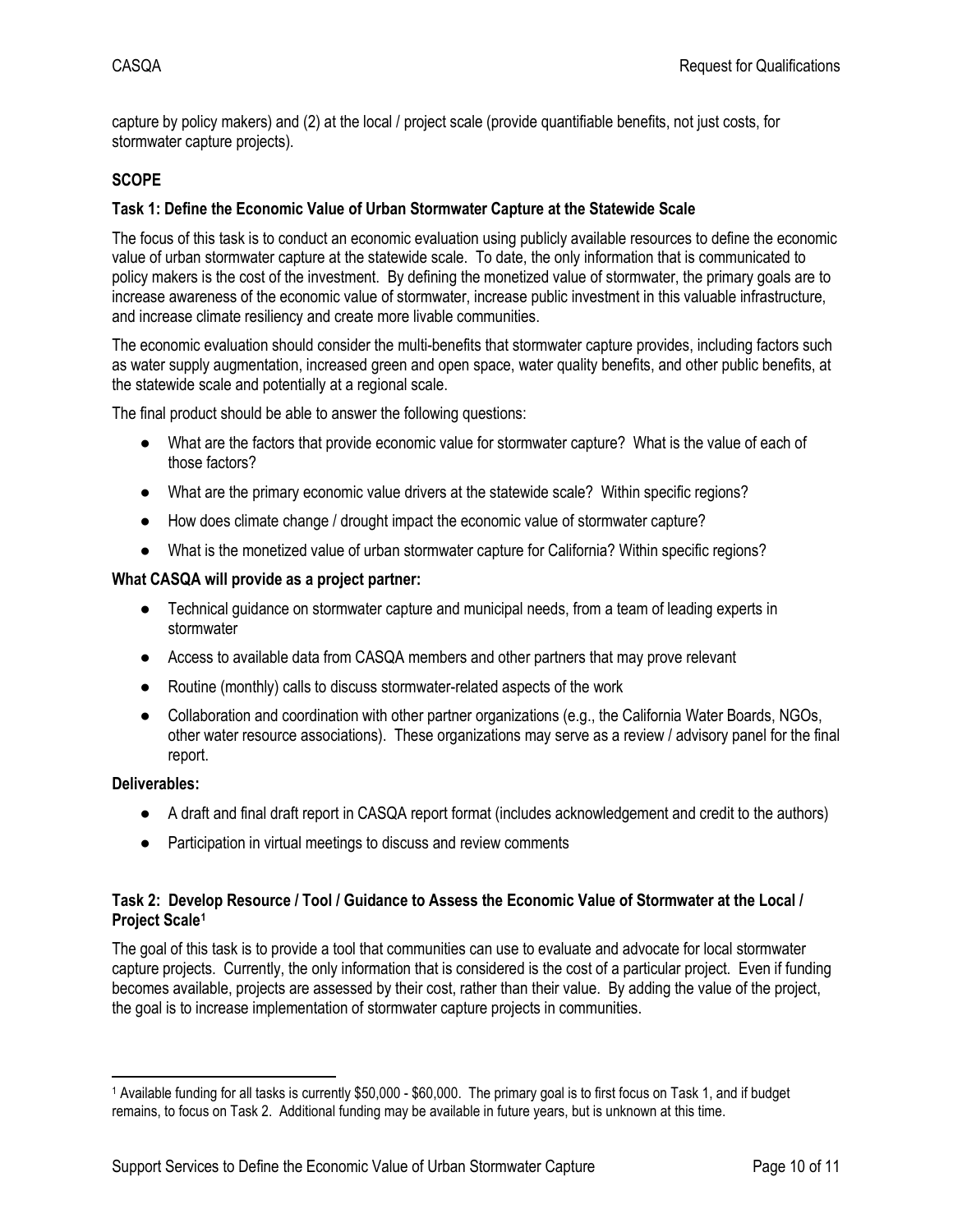capture by policy makers) and (2) at the local / project scale (provide quantifiable benefits, not just costs, for stormwater capture projects).

#### **SCOPE**

#### **Task 1: Define the Economic Value of Urban Stormwater Capture at the Statewide Scale**

The focus of this task is to conduct an economic evaluation using publicly available resources to define the economic value of urban stormwater capture at the statewide scale. To date, the only information that is communicated to policy makers is the cost of the investment. By defining the monetized value of stormwater, the primary goals are to increase awareness of the economic value of stormwater, increase public investment in this valuable infrastructure, and increase climate resiliency and create more livable communities.

The economic evaluation should consider the multi-benefits that stormwater capture provides, including factors such as water supply augmentation, increased green and open space, water quality benefits, and other public benefits, at the statewide scale and potentially at a regional scale.

The final product should be able to answer the following questions:

- What are the factors that provide economic value for stormwater capture? What is the value of each of those factors?
- What are the primary economic value drivers at the statewide scale? Within specific regions?
- How does climate change / drought impact the economic value of stormwater capture?
- What is the monetized value of urban stormwater capture for California? Within specific regions?

#### **What CASQA will provide as a project partner:**

- Technical guidance on stormwater capture and municipal needs, from a team of leading experts in stormwater
- Access to available data from CASQA members and other partners that may prove relevant
- Routine (monthly) calls to discuss stormwater-related aspects of the work
- Collaboration and coordination with other partner organizations (e.g., the California Water Boards, NGOs, other water resource associations). These organizations may serve as a review / advisory panel for the final report.

#### **Deliverables:**

- A draft and final draft report in CASQA report format (includes acknowledgement and credit to the authors)
- Participation in virtual meetings to discuss and review comments

#### **Task 2: Develop Resource / Tool / Guidance to Assess the Economic Value of Stormwater at the Local / Project Scale[1](#page-9-0)**

The goal of this task is to provide a tool that communities can use to evaluate and advocate for local stormwater capture projects. Currently, the only information that is considered is the cost of a particular project. Even if funding becomes available, projects are assessed by their cost, rather than their value. By adding the value of the project, the goal is to increase implementation of stormwater capture projects in communities.

<span id="page-9-0"></span><sup>1</sup> Available funding for all tasks is currently \$50,000 - \$60,000. The primary goal is to first focus on Task 1, and if budget remains, to focus on Task 2. Additional funding may be available in future years, but is unknown at this time.